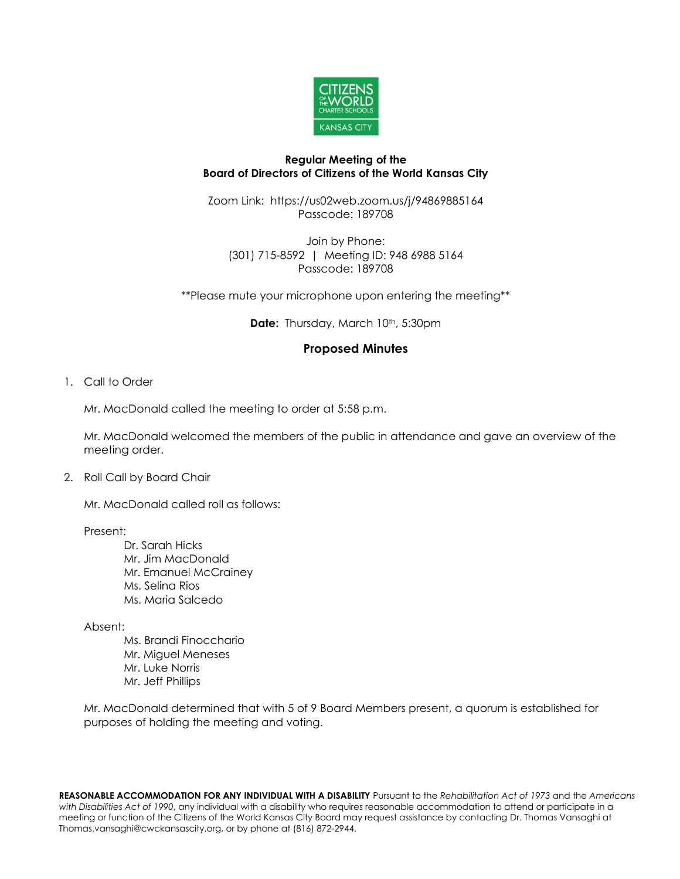

### **Regular Meeting of the Board of Directors of Citizens of the World Kansas City**

Zoom Link: https://us02web.zoom.us/j/94869885164 Passcode: 189708

Join by Phone: (301) 715-8592 | Meeting ID: 948 6988 5164 Passcode: 189708

\*\*Please mute your microphone upon entering the meeting\*\*

**Date:** Thursday, March 10<sup>th</sup>, 5:30pm

# **Proposed Minutes**

1. Call to Order

Mr. MacDonald called the meeting to order at 5:58 p.m.

Mr. MacDonald welcomed the members of the public in attendance and gave an overview of the meeting order.

2. Roll Call by Board Chair

Mr. MacDonald called roll as follows:

#### Present:

- Dr. Sarah Hicks Mr. Jim MacDonald Mr. Emanuel McCrainey Ms. Selina Rios Ms. Maria Salcedo
- Absent:
	- Ms. Brandi Finocchario Mr. Miguel Meneses Mr. Luke Norris Mr. Jeff Phillips

Mr. MacDonald determined that with 5 of 9 Board Members present, a quorum is established for purposes of holding the meeting and voting.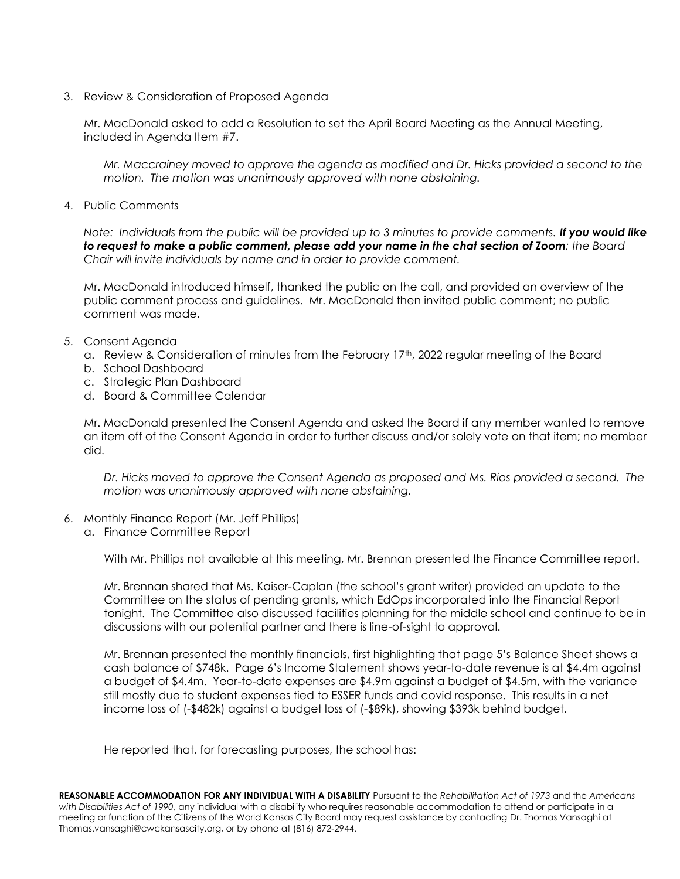3. Review & Consideration of Proposed Agenda

Mr. MacDonald asked to add a Resolution to set the April Board Meeting as the Annual Meeting, included in Agenda Item #7.

*Mr. Maccrainey moved to approve the agenda as modified and Dr. Hicks provided a second to the motion. The motion was unanimously approved with none abstaining.* 

4. Public Comments

*Note: Individuals from the public will be provided up to 3 minutes to provide comments. If you would like to request to make a public comment, please add your name in the chat section of Zoom; the Board Chair will invite individuals by name and in order to provide comment.*

Mr. MacDonald introduced himself, thanked the public on the call, and provided an overview of the public comment process and guidelines. Mr. MacDonald then invited public comment; no public comment was made.

- 5. Consent Agenda
	- a. Review & Consideration of minutes from the February 17th, 2022 regular meeting of the Board
	- b. School Dashboard
	- c. Strategic Plan Dashboard
	- d. Board & Committee Calendar

Mr. MacDonald presented the Consent Agenda and asked the Board if any member wanted to remove an item off of the Consent Agenda in order to further discuss and/or solely vote on that item; no member did.

*Dr. Hicks moved to approve the Consent Agenda as proposed and Ms. Rios provided a second. The motion was unanimously approved with none abstaining.*

- 6. Monthly Finance Report (Mr. Jeff Phillips)
	- a. Finance Committee Report

With Mr. Phillips not available at this meeting, Mr. Brennan presented the Finance Committee report.

Mr. Brennan shared that Ms. Kaiser-Caplan (the school's grant writer) provided an update to the Committee on the status of pending grants, which EdOps incorporated into the Financial Report tonight. The Committee also discussed facilities planning for the middle school and continue to be in discussions with our potential partner and there is line-of-sight to approval.

Mr. Brennan presented the monthly financials, first highlighting that page 5's Balance Sheet shows a cash balance of \$748k. Page 6's Income Statement shows year-to-date revenue is at \$4.4m against a budget of \$4.4m. Year-to-date expenses are \$4.9m against a budget of \$4.5m, with the variance still mostly due to student expenses tied to ESSER funds and covid response. This results in a net income loss of (-\$482k) against a budget loss of (-\$89k), showing \$393k behind budget.

He reported that, for forecasting purposes, the school has: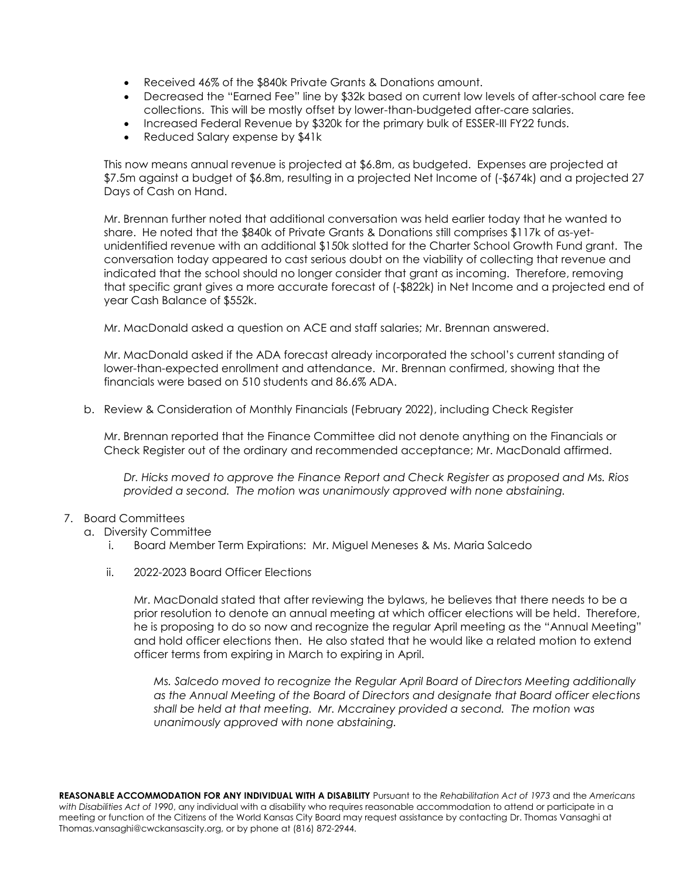- Received 46% of the \$840k Private Grants & Donations amount.
- Decreased the "Earned Fee" line by \$32k based on current low levels of after-school care fee collections. This will be mostly offset by lower-than-budgeted after-care salaries.
- Increased Federal Revenue by \$320k for the primary bulk of ESSER-III FY22 funds.
- Reduced Salary expense by \$41k

This now means annual revenue is projected at \$6.8m, as budgeted. Expenses are projected at \$7.5m against a budget of \$6.8m, resulting in a projected Net Income of (-\$674k) and a projected 27 Days of Cash on Hand.

Mr. Brennan further noted that additional conversation was held earlier today that he wanted to share. He noted that the \$840k of Private Grants & Donations still comprises \$117k of as-yetunidentified revenue with an additional \$150k slotted for the Charter School Growth Fund grant. The conversation today appeared to cast serious doubt on the viability of collecting that revenue and indicated that the school should no longer consider that grant as incoming. Therefore, removing that specific grant gives a more accurate forecast of (-\$822k) in Net Income and a projected end of year Cash Balance of \$552k.

Mr. MacDonald asked a question on ACE and staff salaries; Mr. Brennan answered.

Mr. MacDonald asked if the ADA forecast already incorporated the school's current standing of lower-than-expected enrollment and attendance. Mr. Brennan confirmed, showing that the financials were based on 510 students and 86.6% ADA.

b. Review & Consideration of Monthly Financials (February 2022), including Check Register

Mr. Brennan reported that the Finance Committee did not denote anything on the Financials or Check Register out of the ordinary and recommended acceptance; Mr. MacDonald affirmed.

*Dr. Hicks moved to approve the Finance Report and Check Register as proposed and Ms. Rios provided a second. The motion was unanimously approved with none abstaining.*

- 7. Board Committees
	- a. Diversity Committee
		- i. Board Member Term Expirations: Mr. Miguel Meneses & Ms. Maria Salcedo
		- ii. 2022-2023 Board Officer Elections

Mr. MacDonald stated that after reviewing the bylaws, he believes that there needs to be a prior resolution to denote an annual meeting at which officer elections will be held. Therefore, he is proposing to do so now and recognize the regular April meeting as the "Annual Meeting" and hold officer elections then. He also stated that he would like a related motion to extend officer terms from expiring in March to expiring in April.

*Ms. Salcedo moved to recognize the Regular April Board of Directors Meeting additionally as the Annual Meeting of the Board of Directors and designate that Board officer elections shall be held at that meeting. Mr. Mccrainey provided a second. The motion was unanimously approved with none abstaining.*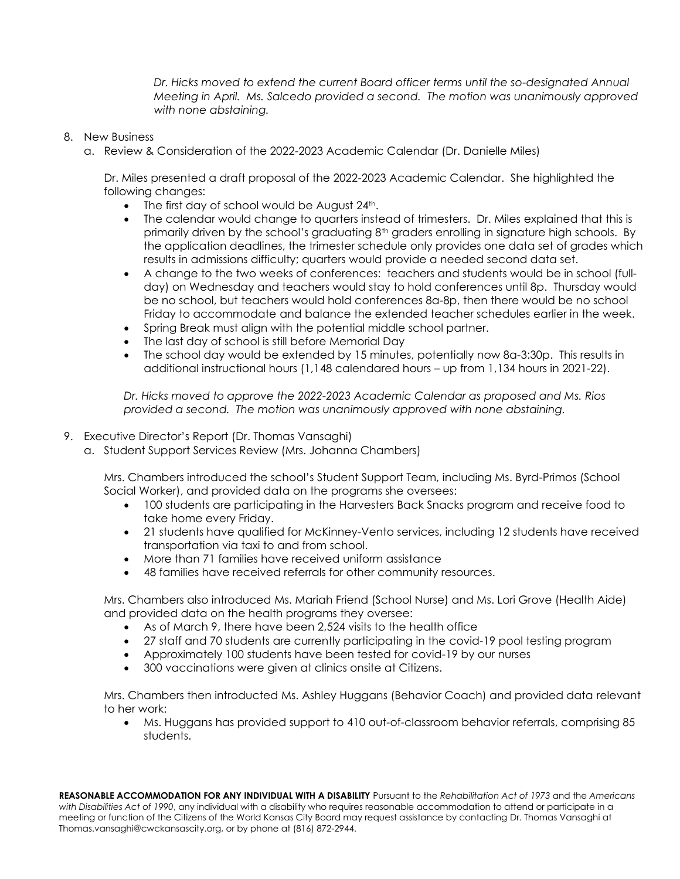*Dr. Hicks moved to extend the current Board officer terms until the so-designated Annual Meeting in April. Ms. Salcedo provided a second. The motion was unanimously approved with none abstaining.*

### 8. New Business

a. Review & Consideration of the 2022-2023 Academic Calendar (Dr. Danielle Miles)

Dr. Miles presented a draft proposal of the 2022-2023 Academic Calendar. She highlighted the following changes:

- The first day of school would be August  $24<sup>th</sup>$ .
- The calendar would change to quarters instead of trimesters. Dr. Miles explained that this is primarily driven by the school's graduating 8<sup>th</sup> graders enrolling in signature high schools. By the application deadlines, the trimester schedule only provides one data set of grades which results in admissions difficulty; quarters would provide a needed second data set.
- A change to the two weeks of conferences: teachers and students would be in school (fullday) on Wednesday and teachers would stay to hold conferences until 8p. Thursday would be no school, but teachers would hold conferences 8a-8p, then there would be no school Friday to accommodate and balance the extended teacher schedules earlier in the week.
- Spring Break must align with the potential middle school partner.
- The last day of school is still before Memorial Day
- The school day would be extended by 15 minutes, potentially now 8a-3:30p. This results in additional instructional hours (1,148 calendared hours – up from 1,134 hours in 2021-22).

*Dr. Hicks moved to approve the 2022-2023 Academic Calendar as proposed and Ms. Rios provided a second. The motion was unanimously approved with none abstaining.*

# 9. Executive Director's Report (Dr. Thomas Vansaghi)

a. Student Support Services Review (Mrs. Johanna Chambers)

Mrs. Chambers introduced the school's Student Support Team, including Ms. Byrd-Primos (School Social Worker), and provided data on the programs she oversees:

- 100 students are participating in the Harvesters Back Snacks program and receive food to take home every Friday.
- 21 students have qualified for McKinney-Vento services, including 12 students have received transportation via taxi to and from school.
- More than 71 families have received uniform assistance
- 48 families have received referrals for other community resources.

Mrs. Chambers also introduced Ms. Mariah Friend (School Nurse) and Ms. Lori Grove (Health Aide) and provided data on the health programs they oversee:

- As of March 9, there have been 2,524 visits to the health office
- 27 staff and 70 students are currently participating in the covid-19 pool testing program
- Approximately 100 students have been tested for covid-19 by our nurses
- 300 vaccinations were given at clinics onsite at Citizens.

Mrs. Chambers then introducted Ms. Ashley Huggans (Behavior Coach) and provided data relevant to her work:

• Ms. Huggans has provided support to 410 out-of-classroom behavior referrals, comprising 85 students.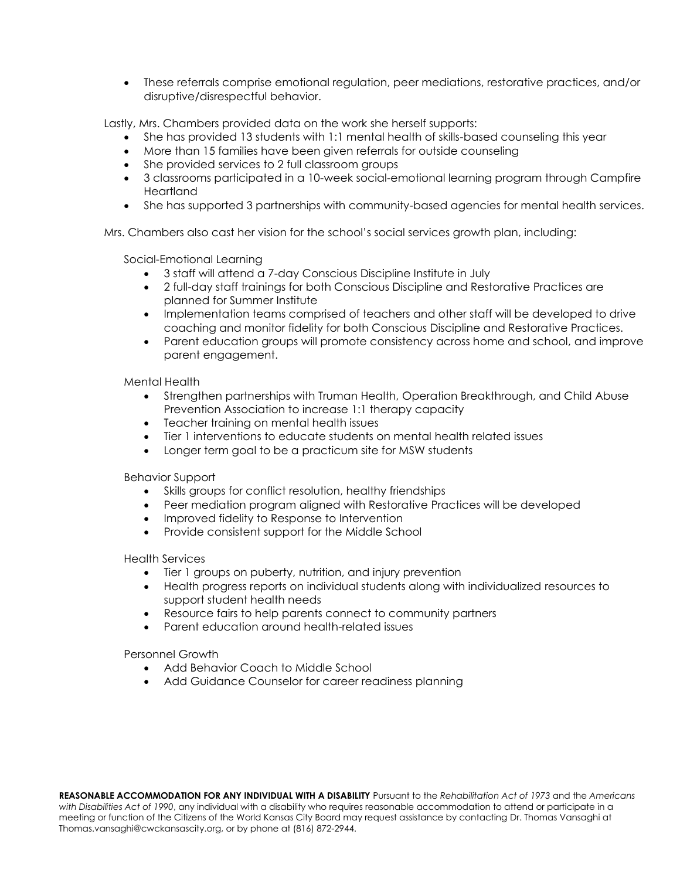• These referrals comprise emotional regulation, peer mediations, restorative practices, and/or disruptive/disrespectful behavior.

Lastly, Mrs. Chambers provided data on the work she herself supports:

- She has provided 13 students with 1:1 mental health of skills-based counseling this year
- More than 15 families have been given referrals for outside counseling
- She provided services to 2 full classroom groups
- 3 classrooms participated in a 10-week social-emotional learning program through Campfire Heartland
- She has supported 3 partnerships with community-based agencies for mental health services.

Mrs. Chambers also cast her vision for the school's social services growth plan, including:

Social-Emotional Learning

- 3 staff will attend a 7-day Conscious Discipline Institute in July
- 2 full-day staff trainings for both Conscious Discipline and Restorative Practices are planned for Summer Institute
- Implementation teams comprised of teachers and other staff will be developed to drive coaching and monitor fidelity for both Conscious Discipline and Restorative Practices.
- Parent education groups will promote consistency across home and school, and improve parent engagement.

Mental Health

- Strengthen partnerships with Truman Health, Operation Breakthrough, and Child Abuse Prevention Association to increase 1:1 therapy capacity
- Teacher training on mental health issues
- Tier 1 interventions to educate students on mental health related issues
- Longer term goal to be a practicum site for MSW students

Behavior Support

- Skills groups for conflict resolution, healthy friendships
- Peer mediation program aligned with Restorative Practices will be developed
- Improved fidelity to Response to Intervention
- Provide consistent support for the Middle School

Health Services

- Tier 1 groups on puberty, nutrition, and injury prevention
- Health progress reports on individual students along with individualized resources to support student health needs
- Resource fairs to help parents connect to community partners
- Parent education around health-related issues

Personnel Growth

- Add Behavior Coach to Middle School
- Add Guidance Counselor for career readiness planning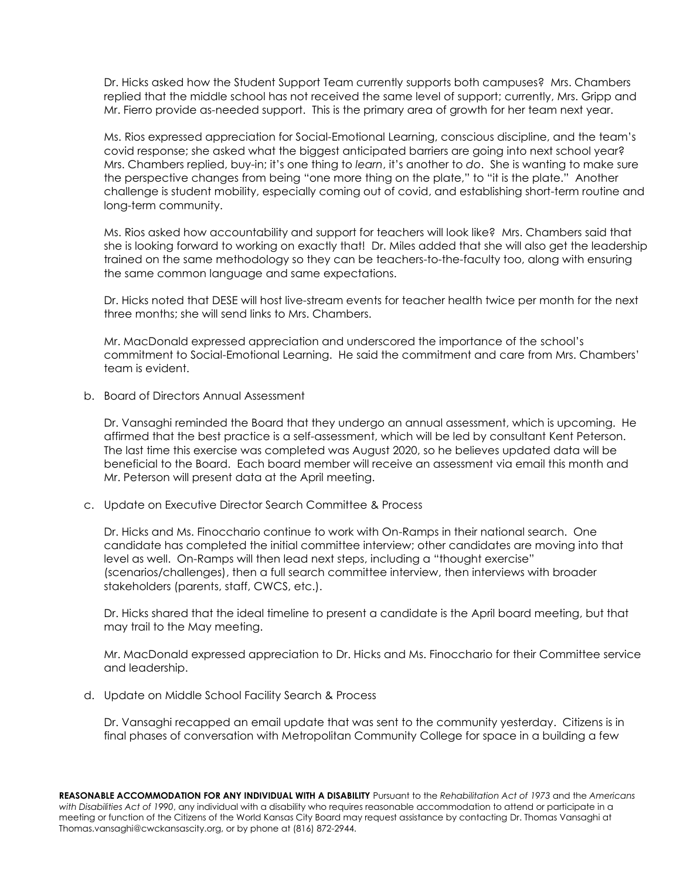Dr. Hicks asked how the Student Support Team currently supports both campuses? Mrs. Chambers replied that the middle school has not received the same level of support; currently, Mrs. Gripp and Mr. Fierro provide as-needed support. This is the primary area of growth for her team next year.

Ms. Rios expressed appreciation for Social-Emotional Learning, conscious discipline, and the team's covid response; she asked what the biggest anticipated barriers are going into next school year? Mrs. Chambers replied, buy-in; it's one thing to *learn*, it's another to *do*. She is wanting to make sure the perspective changes from being "one more thing on the plate," to "it is the plate." Another challenge is student mobility, especially coming out of covid, and establishing short-term routine and long-term community.

Ms. Rios asked how accountability and support for teachers will look like? Mrs. Chambers said that she is looking forward to working on exactly that! Dr. Miles added that she will also get the leadership trained on the same methodology so they can be teachers-to-the-faculty too, along with ensuring the same common language and same expectations.

Dr. Hicks noted that DESE will host live-stream events for teacher health twice per month for the next three months; she will send links to Mrs. Chambers.

Mr. MacDonald expressed appreciation and underscored the importance of the school's commitment to Social-Emotional Learning. He said the commitment and care from Mrs. Chambers' team is evident.

b. Board of Directors Annual Assessment

Dr. Vansaghi reminded the Board that they undergo an annual assessment, which is upcoming. He affirmed that the best practice is a self-assessment, which will be led by consultant Kent Peterson. The last time this exercise was completed was August 2020, so he believes updated data will be beneficial to the Board. Each board member will receive an assessment via email this month and Mr. Peterson will present data at the April meeting.

c. Update on Executive Director Search Committee & Process

Dr. Hicks and Ms. Finocchario continue to work with On-Ramps in their national search. One candidate has completed the initial committee interview; other candidates are moving into that level as well. On-Ramps will then lead next steps, including a "thought exercise" (scenarios/challenges), then a full search committee interview, then interviews with broader stakeholders (parents, staff, CWCS, etc.).

Dr. Hicks shared that the ideal timeline to present a candidate is the April board meeting, but that may trail to the May meeting.

Mr. MacDonald expressed appreciation to Dr. Hicks and Ms. Finocchario for their Committee service and leadership.

d. Update on Middle School Facility Search & Process

Dr. Vansaghi recapped an email update that was sent to the community yesterday. Citizens is in final phases of conversation with Metropolitan Community College for space in a building a few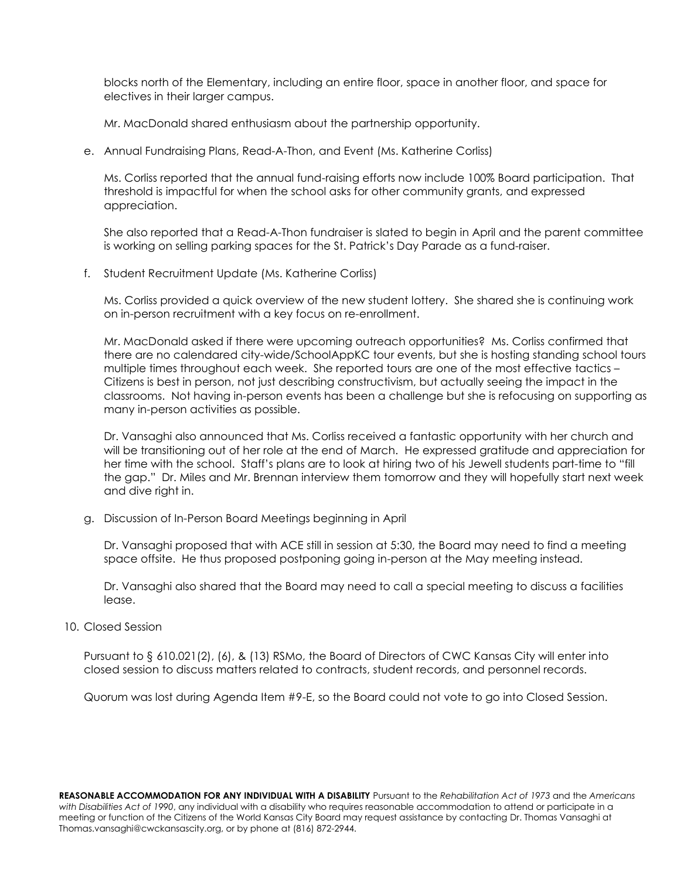blocks north of the Elementary, including an entire floor, space in another floor, and space for electives in their larger campus.

Mr. MacDonald shared enthusiasm about the partnership opportunity.

e. Annual Fundraising Plans, Read-A-Thon, and Event (Ms. Katherine Corliss)

Ms. Corliss reported that the annual fund-raising efforts now include 100% Board participation. That threshold is impactful for when the school asks for other community grants, and expressed appreciation.

She also reported that a Read-A-Thon fundraiser is slated to begin in April and the parent committee is working on selling parking spaces for the St. Patrick's Day Parade as a fund-raiser.

f. Student Recruitment Update (Ms. Katherine Corliss)

Ms. Corliss provided a quick overview of the new student lottery. She shared she is continuing work on in-person recruitment with a key focus on re-enrollment.

Mr. MacDonald asked if there were upcoming outreach opportunities? Ms. Corliss confirmed that there are no calendared city-wide/SchoolAppKC tour events, but she is hosting standing school tours multiple times throughout each week. She reported tours are one of the most effective tactics – Citizens is best in person, not just describing constructivism, but actually seeing the impact in the classrooms. Not having in-person events has been a challenge but she is refocusing on supporting as many in-person activities as possible.

Dr. Vansaghi also announced that Ms. Corliss received a fantastic opportunity with her church and will be transitioning out of her role at the end of March. He expressed gratitude and appreciation for her time with the school. Staff's plans are to look at hiring two of his Jewell students part-time to "fill the gap." Dr. Miles and Mr. Brennan interview them tomorrow and they will hopefully start next week and dive right in.

g. Discussion of In-Person Board Meetings beginning in April

Dr. Vansaghi proposed that with ACE still in session at 5:30, the Board may need to find a meeting space offsite. He thus proposed postponing going in-person at the May meeting instead.

Dr. Vansaghi also shared that the Board may need to call a special meeting to discuss a facilities lease.

10. Closed Session

Pursuant to § 610.021(2), (6), & (13) RSMo, the Board of Directors of CWC Kansas City will enter into closed session to discuss matters related to contracts, student records, and personnel records.

Quorum was lost during Agenda Item #9-E, so the Board could not vote to go into Closed Session.